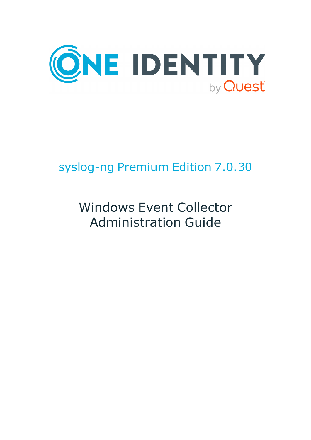

# syslog-ng Premium Edition 7.0.30

# Windows Event Collector Administration Guide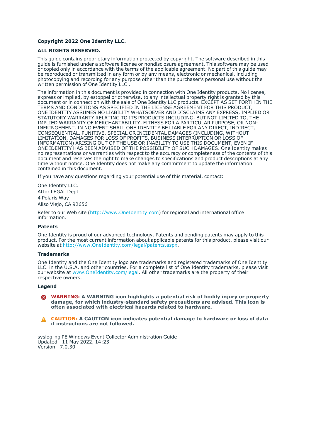#### **Copyright 2022 One Identity LLC.**

#### **ALL RIGHTS RESERVED.**

This guide contains proprietary information protected by copyright. The software described in this guide is furnished under a software license or nondisclosure agreement. This software may be used or copied only in accordance with the terms of the applicable agreement. No part of this guide may be reproduced or transmitted in any form or by any means, electronic or mechanical, including photocopying and recording for any purpose other than the purchaser's personal use without the written permission of One Identity LLC .

The information in this document is provided in connection with One Identity products. No license, express or implied, by estoppel or otherwise, to any intellectual property right is granted by this document or in connection with the sale of One Identity LLC products. EXCEPT AS SET FORTH IN THE TERMS AND CONDITIONS AS SPECIFIED IN THE LICENSE AGREEMENT FOR THIS PRODUCT, ONE IDENTITY ASSUMES NO LIABILITY WHATSOEVER AND DISCLAIMS ANY EXPRESS, IMPLIED OR STATUTORY WARRANTY RELATING TO ITS PRODUCTS INCLUDING, BUT NOT LIMITED TO, THE IMPLIED WARRANTY OF MERCHANTABILITY, FITNESS FOR A PARTICULAR PURPOSE, OR NON-INFRINGEMENT. IN NO EVENT SHALL ONE IDENTITY BE LIABLE FOR ANY DIRECT, INDIRECT, CONSEQUENTIAL, PUNITIVE, SPECIAL OR INCIDENTAL DAMAGES (INCLUDING, WITHOUT LIMITATION, DAMAGES FOR LOSS OF PROFITS, BUSINESS INTERRUPTION OR LOSS OF INFORMATION) ARISING OUT OF THE USE OR INABILITY TO USE THIS DOCUMENT, EVEN IF ONE IDENTITY HAS BEEN ADVISED OF THE POSSIBILITY OF SUCH DAMAGES. One Identity makes no representations or warranties with respect to the accuracy or completeness of the contents of this document and reserves the right to make changes to specifications and product descriptions at any time without notice. One Identity does not make any commitment to update the information contained in this document.

If you have any questions regarding your potential use of this material, contact:

One Identity LLC. Attn: LEGAL Dept 4 Polaris Way Aliso Viejo, CA 92656

Refer to our Web site [\(http://www.OneIdentity.com](http://www.oneidentity.com/)) for regional and international office information.

#### **Patents**

One Identity is proud of our advanced technology. Patents and pending patents may apply to this product. For the most current information about applicable patents for this product, please visit our website at [http://www.OneIdentity.com/legal/patents.aspx.](http://www.oneidentity.com/legal/patents.aspx)

#### **Trademarks**

One Identity and the One Identity logo are trademarks and registered trademarks of One Identity LLC. in the U.S.A. and other countries. For a complete list of One Identity trademarks, please visit our website at [www.OneIdentity.com/legal](http://www.oneidentity.com/legal). All other trademarks are the property of their respective owners.

#### **Legend**

**WARNING: A WARNING icon highlights a potential risk of bodily injury or property** œ **damage, for which industry-standard safety precautions are advised. This icon is often associated with electrical hazards related to hardware.**

**CAUTION: A CAUTION icon indicates potential damage to hardware or loss of data if instructions are not followed.**

syslog-ng PE Windows Event Collector Administration Guide Updated - 11 May 2022, 14:23 Version - 7.0.30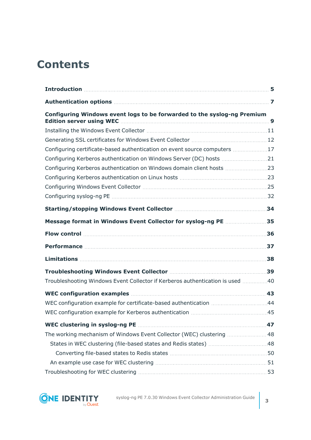# **Contents**

| Configuring Windows event logs to be forwarded to the syslog-ng Premium        |    |
|--------------------------------------------------------------------------------|----|
|                                                                                |    |
|                                                                                |    |
| Configuring certificate-based authentication on event source computers  17     |    |
| Configuring Kerberos authentication on Windows Server (DC) hosts  21           |    |
| Configuring Kerberos authentication on Windows domain client hosts 23          |    |
|                                                                                |    |
|                                                                                |    |
|                                                                                |    |
|                                                                                | 34 |
| Message format in Windows Event Collector for syslog-ng PE 35                  |    |
|                                                                                |    |
|                                                                                |    |
|                                                                                | 38 |
|                                                                                |    |
| Troubleshooting Windows Event Collector if Kerberos authentication is used  40 |    |
|                                                                                |    |
| WEC configuration example for certificate-based authentication 44              |    |
|                                                                                |    |
|                                                                                |    |
| The working mechanism of Windows Event Collector (WEC) clustering 48           |    |
|                                                                                |    |
|                                                                                |    |
|                                                                                |    |
|                                                                                |    |



syslog-ng PE 7.0.30 Windows Event Collector Administration Guide **<sup>3</sup>**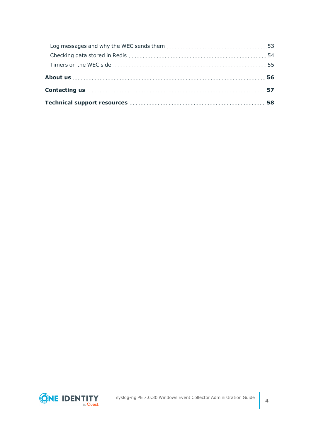| Contacting us <b>Example 20</b> (57 and 57)                                                                                                                                                                                          |  |
|--------------------------------------------------------------------------------------------------------------------------------------------------------------------------------------------------------------------------------------|--|
| Technical support resources <b>manually contained a set of the State State and State State and State State and State State and State State and State and State and State and State and State and State and State and State and S</b> |  |

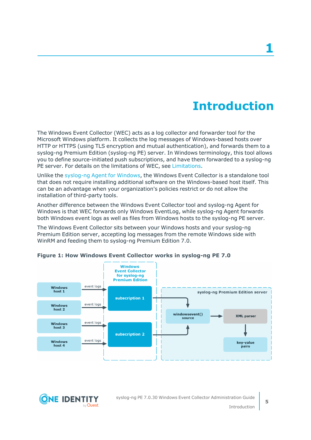# **Introduction**

<span id="page-4-0"></span>The Windows Event Collector (WEC) acts as a log collector and forwarder tool for the Microsoft Windows platform. It collects the log messages of Windows-based hosts over HTTP or HTTPS (using TLS encryption and mutual authentication), and forwards them to a syslog-ng Premium Edition (syslog-ng PE) server. In Windows terminology, this tool allows you to define source-initiated push subscriptions, and have them forwarded to a syslog-ng PE server. For details on the limitations of WEC, see [Limitations.](#page-37-0)

Unlike the [syslog-ng](https://syslog-ng.com/documents/html/syslog-ng-pe-6.0-guides/en/syslog-ng-windows-agent-guide-admin/html/index.html) Agent for Windows, the Windows Event Collector is a standalone tool that does not require installing additional software on the Windows-based host itself. This can be an advantage when your organization's policies restrict or do not allow the installation of third-party tools.

Another difference between the Windows Event Collector tool and syslog-ng Agent for Windows is that WEC forwards only Windows EventLog, while syslog-ng Agent forwards both Windows event logs as well as files from Windows hosts to the syslog-ng PE server.

The Windows Event Collector sits between your Windows hosts and your syslog-ng Premium Edition server, accepting log messages from the remote Windows side with WinRM and feeding them to syslog-ng Premium Edition 7.0.



#### **Figure 1: How Windows Event Collector works in syslog-ng PE 7.0**

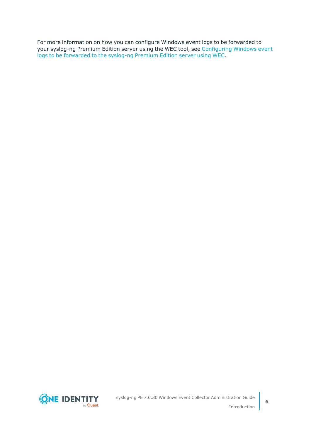For more information on how you can configure Windows event logs to be forwarded to your syslog-ng Premium Edition server using the WEC tool, see [Configuring](#page-8-0) Windows event logs to be [forwarded](#page-8-0) to the syslog-ng Premium Edition server using WEC.

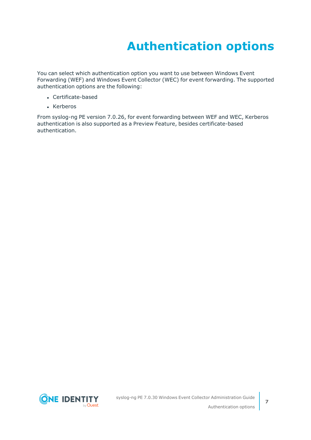# **Authentication options**

<span id="page-6-0"></span>You can select which authentication option you want to use between Windows Event Forwarding (WEF) and Windows Event Collector (WEC) for event forwarding. The supported authentication options are the following:

- Certificate-based
- Kerberos

From syslog-ng PE version 7.0.26, for event forwarding between WEF and WEC, Kerberos authentication is also supported as a Preview Feature, besides certificate-based authentication.

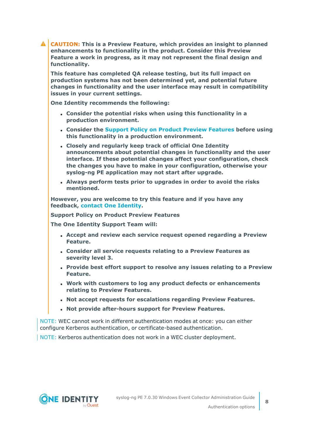**CAUTION: This is a Preview Feature, which provides an insight to planned enhancements to functionality in the product. Consider this Preview Feature a work in progress, as it may not represent the final design and functionality.**

**This feature has completed QA release testing, but its full impact on production systems has not been determined yet, and potential future changes in functionality and the user interface may result in compatibility issues in your current settings.**

**One Identity recommends the following:**

- <sup>l</sup> **Consider the potential risks when using this functionality in a production environment.**
- <sup>l</sup> **Consider the Support Policy on Product Preview [Features](#page-7-0) before using this functionality in a production environment.**
- <sup>l</sup> **Closely and regularly keep track of official One Identity announcements about potential changes in functionality and the user interface. If these potential changes affect your configuration, check the changes you have to make in your configuration, otherwise your syslog-ng PE application may not start after upgrade.**
- <sup>l</sup> **Always perform tests prior to upgrades in order to avoid the risks mentioned.**

**However, you are welcome to try this feature and if you have any feedback, contact One [Identity.](https://www.oneidentity.com/company/contact-us.aspx)**

<span id="page-7-0"></span>**Support Policy on Product Preview Features**

**The One Identity Support Team will:**

- <sup>l</sup> **Accept and review each service request opened regarding a Preview Feature.**
- <sup>l</sup> **Consider all service requests relating to a Preview Features as severity level 3.**
- <sup>l</sup> **Provide best effort support to resolve any issues relating to a Preview Feature.**
- <sup>l</sup> **Work with customers to log any product defects or enhancements relating to Preview Features.**
- <sup>l</sup> **Not accept requests for escalations regarding Preview Features.**
- <sup>l</sup> **Not provide after-hours support for Preview Features.**

NOTE: WEC cannot work in different authentication modes at once: you can either configure Kerberos authentication, or certificate-based authentication.

NOTE: Kerberos authentication does not work in a WEC cluster deployment.

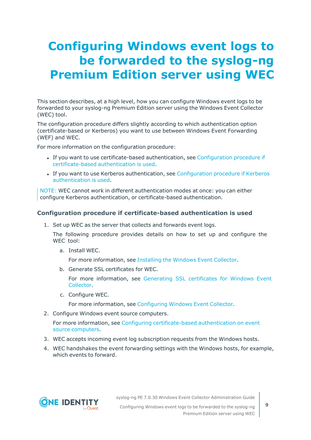# <span id="page-8-0"></span>**Configuring Windows event logs to be forwarded to the syslog-ng Premium Edition server using WEC**

This section describes, at a high level, how you can configure Windows event logs to be forwarded to your syslog-ng Premium Edition server using the Windows Event Collector (WEC) tool.

The configuration procedure differs slightly according to which authentication option (certificate-based or Kerberos) you want to use between Windows Event Forwarding (WEF) and WEC.

For more information on the configuration procedure:

- If you want to use certificate-based authentication, see [Configuration](#page-8-1) procedure if [certificate-based](#page-8-1) authentication is used.
- If you want to use Kerberos authentication, see [Configuration](#page-9-0) procedure if Kerberos [authentication](#page-9-0) is used.

NOTE: WEC cannot work in different authentication modes at once: you can either configure Kerberos authentication, or certificate-based authentication.

#### <span id="page-8-1"></span>**Configuration procedure if certificate-based authentication is used**

1. Set up WEC as the server that collects and forwards event logs.

The following procedure provides details on how to set up and configure the WEC tool:

a. Install WEC.

For more information, see [Installing](#page-10-0) the Windows Event Collector.

b. Generate SSL certificates for WEC.

For more information, see [Generating](#page-11-0) SSL certificates for Windows Event [Collector](#page-11-0).

c. Configure WEC.

For more information, see [Configuring](#page-24-0) Windows Event Collector.

2. Configure Windows event source computers.

For more information, see Configuring [certificate-based](#page-16-0) authentication on event source [computers.](#page-16-0)

- 3. WEC accepts incoming event log subscription requests from the Windows hosts.
- 4. WEC handshakes the event forwarding settings with the Windows hosts, for example, which events to forward.



syslog-ng PE 7.0.30 Windows Event Collector Administration Guide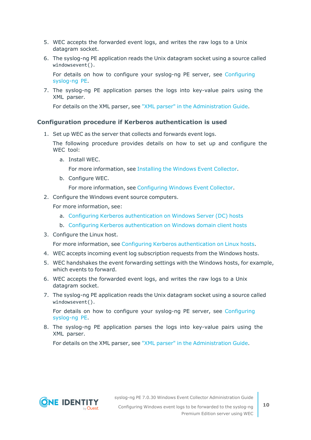- 5. WEC accepts the forwarded event logs, and writes the raw logs to a Unix datagram socket.
- 6. The syslog-ng PE application reads the Unix datagram socket using a source called windowsevent().

For details on how to configure your syslog-ng PE server, see [Configuring](#page-31-0) [syslog-ng](#page-31-0) PE.

7. The syslog-ng PE application parses the logs into key-value pairs using the XML parser.

For details on the XML parser, see "XML parser" in the [Administration](https://support.oneidentity.com/technical-documents/syslog-ng-premium-edition/7.0.30/administration-guide/parser-parse-and-segment-structured-messages/xml-parser/) Guide.

#### <span id="page-9-0"></span>**Configuration procedure if Kerberos authentication is used**

1. Set up WEC as the server that collects and forwards event logs.

The following procedure provides details on how to set up and configure the WEC tool:

a. Install WEC.

For more information, see [Installing](#page-10-0) the Windows Event Collector.

b. Configure WEC.

For more information, see [Configuring](#page-24-0) Windows Event Collector.

2. Configure the Windows event source computers.

For more information, see:

- a. Configuring Kerberos [authentication](#page-20-0) on Windows Server (DC) hosts
- b. Configuring Kerberos [authentication](#page-22-0) on Windows domain client hosts
- 3. Configure the Linux host.

For more information, see Configuring Kerberos [authentication](#page-22-1) on Linux hosts.

- 4. WEC accepts incoming event log subscription requests from the Windows hosts.
- 5. WEC handshakes the event forwarding settings with the Windows hosts, for example, which events to forward.
- 6. WEC accepts the forwarded event logs, and writes the raw logs to a Unix datagram socket.
- 7. The syslog-ng PE application reads the Unix datagram socket using a source called windowsevent().

For details on how to configure your syslog-ng PE server, see [Configuring](#page-31-0) [syslog-ng](#page-31-0) PE.

8. The syslog-ng PE application parses the logs into key-value pairs using the XML parser.

For details on the XML parser, see "XML parser" in the [Administration](https://support.oneidentity.com/technical-documents/syslog-ng-premium-edition/7.0.30/administration-guide/parser-parse-and-segment-structured-messages/xml-parser/) Guide.



syslog-ng PE 7.0.30 Windows Event Collector Administration Guide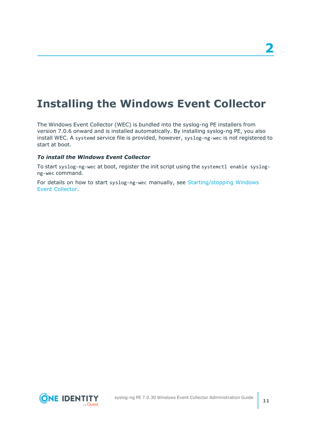### <span id="page-10-0"></span>**Installing the Windows Event Collector**

The Windows Event Collector (WEC) is bundled into the syslog-ng PE installers from version 7.0.6 onward and is installed automatically. By installing syslog-ng PE, you also install WEC. A systemd service file is provided, however, syslog-ng-wec is not registered to start at boot.

#### *To install the Windows Event Collector*

To start syslog-ng-wec at boot, register the init script using the systemctl enable syslogng-wec command.

For details on how to start syslog-ng-wec manually, see [Starting/stopping](#page-33-0) Windows Event [Collector.](#page-33-0)

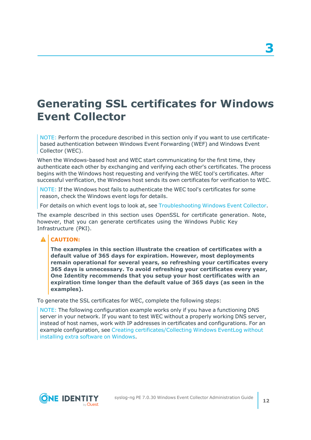## <span id="page-11-0"></span>**Generating SSL certificates for Windows Event Collector**

NOTE: Perform the procedure described in this section only if you want to use certificatebased authentication between Windows Event Forwarding (WEF) and Windows Event Collector (WEC).

When the Windows-based host and WEC start communicating for the first time, they authenticate each other by exchanging and verifying each other's certificates. The process begins with the Windows host requesting and verifying the WEC tool's certificates. After successful verification, the Windows host sends its own certificates for verification to WEC.

NOTE: If the Windows host fails to authenticate the WEC tool's certificates for some reason, check the Windows event logs for details.

For details on which event logs to look at, see [Troubleshooting](#page-38-0) Windows Event Collector.

The example described in this section uses OpenSSL for certificate generation. Note, however, that you can generate certificates using the Windows Public Key Infrastructure (PKI).

#### **CAUTION:**

**The examples in this section illustrate the creation of certificates with a default value of 365 days for expiration. However, most deployments remain operational for several years, so refreshing your certificates every 365 days is unnecessary. To avoid refreshing your certificates every year, One Identity recommends that you setup your host certificates with an expiration time longer than the default value of 365 days (as seen in the examples).**

To generate the SSL certificates for WEC, complete the following steps:

NOTE: The following configuration example works only if you have a functioning DNS server in your network. If you want to test WEC without a properly working DNS server, instead of host names, work with IP addresses in certificates and configurations. For an example configuration, see Creating [certificates/Collecting](https://www.syslog-ng.com/community/b/blog/posts/windows-event-collector-forwarding-syslog_2d00_ng) Windows EventLog without [installing](https://www.syslog-ng.com/community/b/blog/posts/windows-event-collector-forwarding-syslog_2d00_ng) extra software on Windows.

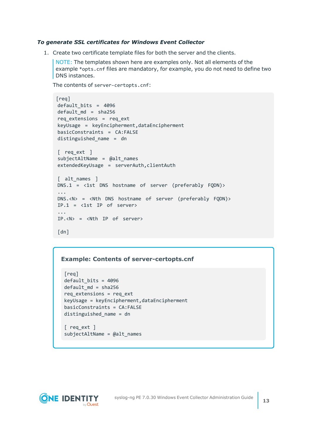#### *To generate SSL certificates for Windows Event Collector*

1. Create two certificate template files for both the server and the clients.

NOTE: The templates shown here are examples only. Not all elements of the example \*opts.cnf files are mandatory, for example, you do not need to define two DNS instances.

```
The contents of server-certopts.cnf:
```

```
[req]
default bits = 4096default md = sha256req extensions = req ext
keyUsage = keyEncipherment,dataEncipherment
basicConstraints = CA:FALSE
distinguished_name = dn
[ req ext ]
subjectAltName = @alt_names
extendedKeyUsage = serverAuth,clientAuth
[ alt names ]
DNS.1 = <1st DNS hostname of server (preferably FQDN)>
...
DNS.<N> = <Nth DNS hostname of server (preferably FQDN)>
IP.1 = \langle 1st IP of server>
...
IP.<N> = <Nth IP of server>
[dn]
```
#### **Example: Contents of server-certopts.cnf**

```
[req]
default_bits = 4096
default_md = sha256
req_extensions = req_ext
keyUsage = keyEncipherment,dataEncipherment
basicConstraints = CA:FALSE
distinguished_name = dn
[ req_ext ]
```
subjectAltName = @alt\_names

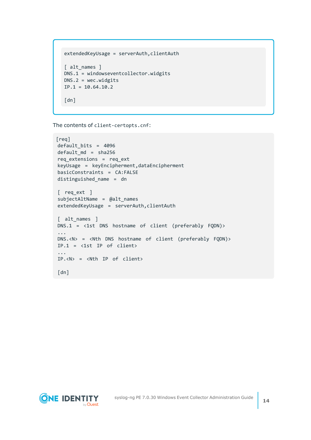```
extendedKeyUsage = serverAuth, clientAuth
[ alt names ]
DNS.1 = windowseventcollector.widgits
DNS.2 = wec.widgits
IP.1 = 10.64.10.2[dn]
```
The contents of client-certopts.cnf:

```
[req]
default_bits = 4096
default md = sha256req_extensions = req_ext
keyUsage = keyEncipherment,dataEncipherment
basicConstraints = CA:FALSE
distinguished_name = dn
[ req_ext ]
subjectAltName = @alt names
extendedKeyUsage = serverAuth,clientAuth
[ alt_names ]
DNS.1 = <1st DNS hostname of client (preferably FQDN)>
...
DNS.<N> = <Nth DNS hostname of client (preferably FQDN)>
IP.1 = <1st IP of client>
...
IP.<N> = <Nth IP of client>
[dn]
```
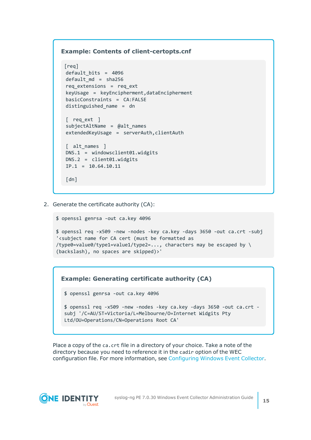#### **Example: Contents of client-certopts.cnf**

```
[req]
default_bits = 4096
default md = sha256req_extensions = req_ext
keyUsage = keyEncipherment,dataEncipherment
basicConstraints = CA:FALSE
distinguished_name = dn
[ req ext ]
subjectAltName = @alt_names
extendedKeyUsage = serverAuth,clientAuth
[ alt names ]
DNS.1 = windowsclient01.widgits
DNS.2 = client01.widgits
IP.1 = 10.64.10.11
[dn]
```
2. Generate the certificate authority (CA):

```
$ openssl genrsa -out ca.key 4096
```

```
$ openssl req -x509 -new -nodes -key ca.key -days 3650 -out ca.crt -subj
'<subject name for CA cert (must be formatted as
/type0=value0/type1=value1/type2=..., characters may be escaped by \setminus(backslash), no spaces are skipped)>'
```
#### **Example: Generating certificate authority (CA)**

```
$ openssl genrsa -out ca.key 4096
```

```
$ openssl req -x509 -new -nodes -key ca.key -days 3650 -out ca.crt -
subj '/C=AU/ST=Victoria/L=Melbourne/O=Internet Widgits Pty
Ltd/OU=Operations/CN=Operations Root CA'
```
Place a copy of the ca.crt file in a directory of your choice. Take a note of the directory because you need to reference it in the cadir option of the WEC configuration file. For more information, see [Configuring](#page-24-0) Windows Event Collector.

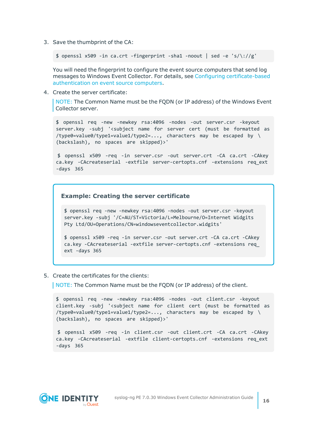3. Save the thumbprint of the CA:

\$ openssl x509 -in ca.crt -fingerprint -sha1 -noout | sed -e 's/\://g'

You will need the fingerprint to configure the event source computers that send log messages to Windows Event Collector. For details, see Configuring [certificate-based](#page-16-0) [authentication](#page-16-0) on event source computers.

4. Create the server certificate:

NOTE: The Common Name must be the FQDN (or IP address) of the Windows Event Collector server.

\$ openssl req -new -newkey rsa:4096 -nodes -out server.csr -keyout server.key -subj '<subject name for server cert (must be formatted as  $/$ type0=value0/type1=value1/type2=..., characters may be escaped by \ (backslash), no spaces are skipped)>'

\$ openssl x509 -req -in server.csr -out server.crt -CA ca.crt -CAkey ca.key -CAcreateserial -extfile server-certopts.cnf -extensions req\_ext -days 365

#### **Example: Creating the server certificate**

\$ openssl req -new -newkey rsa:4096 -nodes -out server.csr -keyout server.key -subj '/C=AU/ST=Victoria/L=Melbourne/O=Internet Widgits Pty Ltd/OU=Operations/CN=windowseventcollector.widgits'

\$ openssl x509 -req -in server.csr -out server.crt -CA ca.crt -CAkey ca.key -CAcreateserial -extfile server-certopts.cnf -extensions req\_ ext -days 365

5. Create the certificates for the clients:

NOTE: The Common Name must be the FQDN (or IP address) of the client.

\$ openssl req -new -newkey rsa:4096 -nodes -out client.csr -keyout client.key -subj '<subject name for client cert (must be formatted as  $/$ type0=value0/type1=value1/type2=..., characters may be escaped by  $\setminus$ (backslash), no spaces are skipped)>'

```
$ openssl x509 -req -in client.csr -out client.crt -CA ca.crt -CAkey
ca.key -CAcreateserial -extfile client-certopts.cnf -extensions req_ext
-days 365
```
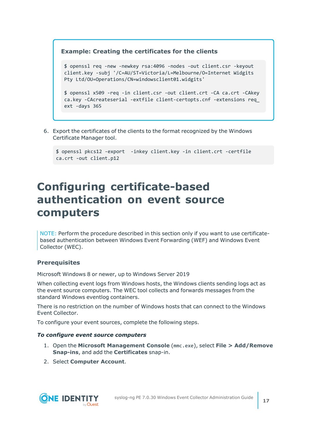#### **Example: Creating the certificates for the clients**

```
$ openssl req -new -newkey rsa:4096 -nodes -out client.csr -keyout
client.key -subj '/C=AU/ST=Victoria/L=Melbourne/O=Internet Widgits
Pty Ltd/OU=Operations/CN=windowsclient01.widgits'
```

```
$ openssl x509 -req -in client.csr -out client.crt -CA ca.crt -CAkey
ca.key -CAcreateserial -extfile client-certopts.cnf -extensions req_
ext -days 365
```
6. Export the certificates of the clients to the format recognized by the Windows Certificate Manager tool.

```
$ openssl pkcs12 -export -inkey client.key -in client.crt -certfile
ca.crt -out client.p12
```
### <span id="page-16-0"></span>**Configuring certificate-based authentication on event source computers**

NOTE: Perform the procedure described in this section only if you want to use certificatebased authentication between Windows Event Forwarding (WEF) and Windows Event Collector (WEC).

#### **Prerequisites**

Microsoft Windows 8 or newer, up to Windows Server 2019

When collecting event logs from Windows hosts, the Windows clients sending logs act as the event source computers. The WEC tool collects and forwards messages from the standard Windows eventlog containers.

There is no restriction on the number of Windows hosts that can connect to the Windows Event Collector.

To configure your event sources, complete the following steps.

#### *To configure event source computers*

- 1. Open the **Microsoft Management Console** (mmc.exe), select **File > Add/Remove Snap-ins**, and add the **Certificates** snap-in.
- 2. Select **Computer Account**.

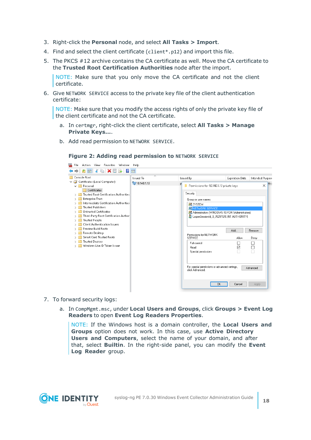- 3. Right-click the **Personal** node, and select **All Tasks > Import**.
- 4. Find and select the client certificate (client\*.p12) and import this file.
- 5. The PKCS #12 archive contains the CA certificate as well. Move the CA certificate to the **Trusted Root Certification Authorities** node after the import.

NOTE: Make sure that you only move the CA certificate and not the client certificate.

6. Give NETWORK SERVICE access to the private key file of the client authentication certificate:

NOTE: Make sure that you modify the access rights of only the private key file of the client certificate and not the CA certificate.

- a. In certmgr, right-click the client certificate, select **All Tasks > Manage Private Keys...**.
- b. Add read permission to NETWORK SERVICE.

### **Figure 2: Adding read permission to NETWORK SERVICE**



- 7. To forward security logs:
	- a. In CompMgmt.msc, under **Local Users and Groups**, click **Groups > Event Log Readers** to open **Event Log Readers Properties**.

NOTE: If the Windows host is a domain controller, the **Local Users and Groups** option does not work. In this case, use **Active Directory Users and Computers**, select the name of your domain, and after that, select **Builtin**. In the right-side panel, you can modify the **Event Log Reader** group.

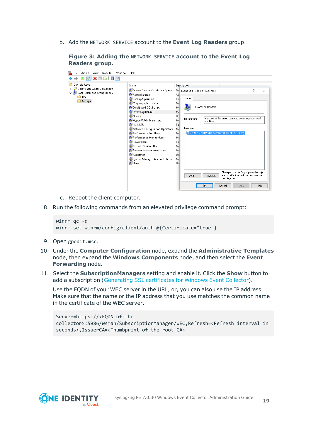b. Add the NETWORK SERVICE account to the **Event Log Readers** group.

| ÷<br>Favorites<br>View<br>Window<br>File<br>Action                                                 | Help                                                                                                                                                                                                                                                                                                                                                                                                                                           |                                                                                                                                                                                                        |                                                                                                                                                                                                                                                                            |           |          |
|----------------------------------------------------------------------------------------------------|------------------------------------------------------------------------------------------------------------------------------------------------------------------------------------------------------------------------------------------------------------------------------------------------------------------------------------------------------------------------------------------------------------------------------------------------|--------------------------------------------------------------------------------------------------------------------------------------------------------------------------------------------------------|----------------------------------------------------------------------------------------------------------------------------------------------------------------------------------------------------------------------------------------------------------------------------|-----------|----------|
| $\vert$ ?<br>扇                                                                                     |                                                                                                                                                                                                                                                                                                                                                                                                                                                |                                                                                                                                                                                                        |                                                                                                                                                                                                                                                                            |           |          |
| Console Root<br>Certificates (Local Computer)<br>Local Users and Groups (Local)<br>Users<br>Groups | Name<br>Access Control Assistance Opera<br>Administrators<br>Backup Operators<br>Cryptographic Operators<br>Distributed COM Users<br>Event Log Readers<br><b>SA</b> Guests<br>Hyper-V Administrators<br><b>SE IIS_IUSRS</b><br>Network Configuration Operators<br>Performance Log Users<br>Performance Monitor Users<br>Power Users<br>Remote Desktop Users<br>Remote Management Users<br>Replicator<br>System Managed Accounts Group<br>Users | Description<br>Me Event Log Readers Properties<br>Ad<br>General<br>Bai<br>Me<br>Md<br>Me<br>Gu<br>Description:<br>Me<br>Bu<br>Members:<br>Md<br>Me<br>Md<br>Pot<br>Md<br>Me<br>Suj<br>Md<br>Usi<br>Add | Event Log Readers<br>Members of this group can read event logs from local<br>machine<br>ANT AUTHORITY INETWORK SERVICE (S-1-5-20)<br>Changes to a user's group membership<br>are not effective until the next time the<br>Remove<br>user logs on.<br>0K<br>Cancel<br>Apply | ?<br>Help | $\times$ |
|                                                                                                    |                                                                                                                                                                                                                                                                                                                                                                                                                                                |                                                                                                                                                                                                        |                                                                                                                                                                                                                                                                            |           |          |

**Figure 3: Adding the NETWORK SERVICE account to the Event Log Readers group.**

- c. Reboot the client computer.
- 8. Run the following commands from an elevated privilege command prompt:

```
winrm qc -q
winrm set winrm/config/client/auth @{Certificate="true"}
```
- 9. Open gpedit.msc.
- 10. Under the **Computer Configuration** node, expand the **Administrative Templates** node, then expand the **Windows Components** node, and then select the **Event Forwarding** node.
- 11. Select the **SubscriptionManagers** setting and enable it. Click the **Show** button to add a subscription [\(Generating](#page-11-0) SSL certificates for Windows Event Collector).

Use the FQDN of your WEC server in the URL, or, you can also use the IP address. Make sure that the name or the IP address that you use matches the common name in the certificate of the WEC server.

Server=https://<FQDN of the collector>:5986/wsman/SubscriptionManager/WEC,Refresh=<Refresh interval in seconds>,IssuerCA=<Thumbprint of the root CA>

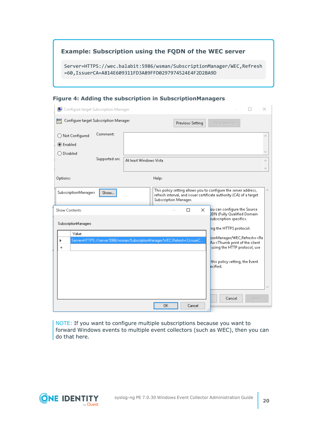### **Example: Subscription using the FQDN of the WEC server**

Server=HTTPS://wec.balabit:5986/wsman/SubscriptionManager/WEC,Refresh =60,IssuerCA=A814E609311FD3A89FFD0297974524E4F2D2BA9D

#### **Figure 4: Adding the subscription in SubscriptionManagers**

| Configure target Subscription Manager                                             |                                                                                 | ×                                                                                                                                                                                                                                                                                                                      |
|-----------------------------------------------------------------------------------|---------------------------------------------------------------------------------|------------------------------------------------------------------------------------------------------------------------------------------------------------------------------------------------------------------------------------------------------------------------------------------------------------------------|
| Configure target Subscription Manager                                             | Previous Setting                                                                | Next Setting                                                                                                                                                                                                                                                                                                           |
| Comment:<br>◯ Not Configured<br>◉ Enabled<br>$\bigcirc$ Disabled<br>Supported on: | At least Windows Vista                                                          |                                                                                                                                                                                                                                                                                                                        |
| Options:                                                                          | Help:                                                                           |                                                                                                                                                                                                                                                                                                                        |
| SubscriptionManagers<br>Show                                                      | Subscription Manager.                                                           | This policy setting allows you to configure the server address,<br>refresh interval, and issuer certificate authority (CA) of a target                                                                                                                                                                                 |
| Show Contents<br>SubscriptionManagers<br>Value<br>٠                               | П<br>Server=HTTPS://server:5986/wsman/SubscriptionManager/WEC,Refresh=3,IssuerC | ou can configure the Source<br>×<br>2DN (Fully Qualified Domain<br>subscription specifics.<br>ng the HTTPS protocol:<br>ionManager/WEC,Refresh= <re<br><math>A = \langle</math>Thumb print of the client<br/>using the HTTP protocol, use<br/>this policy setting, the Event<br/>ecified.<br/>Cancel<br/>Apply</re<br> |
|                                                                                   | 0K<br>Cancel                                                                    |                                                                                                                                                                                                                                                                                                                        |

NOTE: If you want to configure multiple subscriptions because you want to forward Windows events to multiple event collectors (such as WEC), then you can do that here.

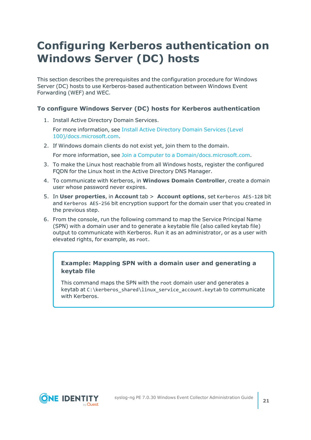## <span id="page-20-0"></span>**Configuring Kerberos authentication on Windows Server (DC) hosts**

This section describes the prerequisites and the configuration procedure for Windows Server (DC) hosts to use Kerberos-based authentication between Windows Event Forwarding (WEF) and WEC.

#### **To configure Windows Server (DC) hosts for Kerberos authentication**

1. Install Active Directory Domain Services.

For more information, see Install Active [Directory](https://docs.microsoft.com/en-us/windows-server/identity/ad-ds/deploy/install-active-directory-domain-services--level-100-) Domain Services (Level [100\)/docs.microsoft.com](https://docs.microsoft.com/en-us/windows-server/identity/ad-ds/deploy/install-active-directory-domain-services--level-100-).

2. If Windows domain clients do not exist yet, join them to the domain.

For more information, see Join a Computer to a [Domain/docs.microsoft.com.](https://docs.microsoft.com/en-us/windows-server/identity/ad-fs/deployment/join-a-computer-to-a-domain)

- 3. To make the Linux host reachable from all Windows hosts, register the configured FQDN for the Linux host in the Active Directory DNS Manager.
- 4. To communicate with Kerberos, in **Windows Domain Controller**, create a domain user whose password never expires.
- 5. In **User properties**, in **Account** tab > **Account options**, set Kerberos AES-128 bit and Kerberos AES-256 bit encryption support for the domain user that you created in the previous step.
- 6. From the console, run the following command to map the Service Principal Name (SPN) with a domain user and to generate a keytable file (also called keytab file) output to communicate with Kerberos. Run it as an administrator, or as a user with elevated rights, for example, as root.

#### **Example: Mapping SPN with a domain user and generating a keytab file**

This command maps the SPN with the root domain user and generates a keytab at C:\kerberos\_shared\linux\_service\_account.keytab to communicate with Kerberos.

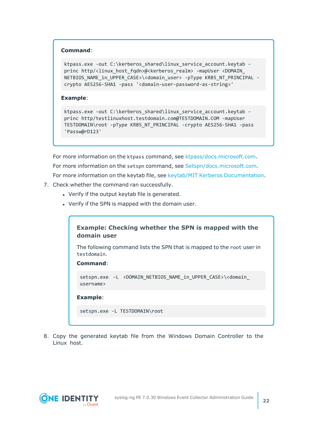#### **Command**:

```
ktpass.exe -out C:\kerberos shared\linux service account.keytab -
princ http/<linux_host_fqdn>@<kerberos_realm> -mapUser <DOMAIN_
NETBIOS NAME in UPPER CASE>\<domain_user> -pType KRB5_NT_PRINCIPAL -
crypto AES256-SHA1 -pass '<domain-user-password-as-string>'
```
#### **Example**:

```
ktpass.exe -out C:\kerberos shared\linux service account.keytab -
princ http/testlinuxhost.testdomain.com@TESTDOMAIN.COM -mapUser
TESTDOMAIN\root -pType KRB5_NT_PRINCIPAL -crypto AES256-SHA1 -pass
'Passw@rD123'
```
For more information on the ktpass command, see [ktpass/docs.microsoft.com.](https://docs.microsoft.com/en-us/windows-server/administration/windows-commands/ktpass) For more information on the setspn command, see [Setspn/docs.microsoft.com.](https://docs.microsoft.com/en-us/previous-versions/windows/it-pro/windows-server-2012-r2-and-2012/cc731241(v=ws.11)) For more information on the keytab file, see keytab/MIT Kerberos [Documentation](https://web.mit.edu/kerberos/krb5-devel/doc/basic/keytab_def.html).

- 7. Check whether the command ran successfully.
	- Verify if the output keytab file is generated.
	- Verify if the SPN is mapped with the domain user.



**Command**:

```
setspn.exe -L <DOMAIN_NETBIOS_NAME_in_UPPER_CASE>\<domain_
username>
```
#### **Example**:

```
setspn.exe -L TESTDOMAIN\root
```
8. Copy the generated keytab file from the Windows Domain Controller to the Linux host.

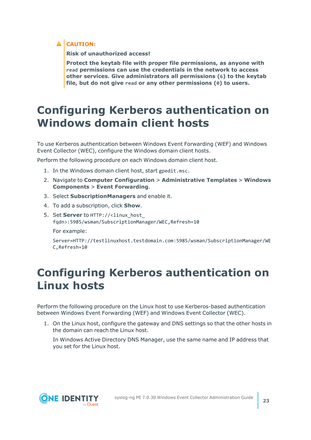### **A** CAUTION:

**Risk of unauthorized access!**

**Protect the keytab file with proper file permissions, as anyone with read permissions can use the credentials in the network to access other services. Give administrators all permissions (6) to the keytab file, but do not give read or any other permissions (0) to users.**

## <span id="page-22-0"></span>**Configuring Kerberos authentication on Windows domain client hosts**

To use Kerberos authentication between Windows Event Forwarding (WEF) and Windows Event Collector (WEC), configure the Windows domain client hosts.

Perform the following procedure on each Windows domain client host.

- 1. In the Windows domain client host, start gpedit.msc.
- 2. Navigate to **Computer Configuration** > **Administrative Templates** > **Windows Components** > **Event Forwarding**.
- 3. Select **SubscriptionManagers** and enable it.
- 4. To add a subscription, click **Show**.
- 5. Set **Server** to HTTP://<linux\_host\_ fqdn>:5985/wsman/SubscriptionManager/WEC,Refresh=10

For example:

Server=HTTP://testlinuxhost.testdomain.com:5985/wsman/SubscriptionManager/WE C,Refresh=10

## <span id="page-22-1"></span>**Configuring Kerberos authentication on Linux hosts**

Perform the following procedure on the Linux host to use Kerberos-based authentication between Windows Event Forwarding (WEF) and Windows Event Collector (WEC).

1. On the Linux host, configure the gateway and DNS settings so that the other hosts in the domain can reach the Linux host.

In Windows Active Directory DNS Manager, use the same name and IP address that you set for the Linux host.

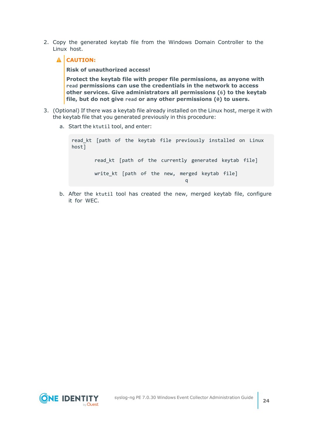- 2. Copy the generated keytab file from the Windows Domain Controller to the Linux host.
	- **A** CAUTION: **Risk of unauthorized access! Protect the keytab file with proper file permissions, as anyone with read permissions can use the credentials in the network to access other services. Give administrators all permissions (6) to the keytab file, but do not give read or any other permissions (0) to users.**
- 3. (Optional) If there was a keytab file already installed on the Linux host, merge it with the keytab file that you generated previously in this procedure:
	- a. Start the ktutil tool, and enter:

read kt [path of the keytab file previously installed on Linux host] read kt [path of the currently generated keytab file] write kt [path of the new, merged keytab file] q

b. After the ktutil tool has created the new, merged keytab file, configure it for WEC.

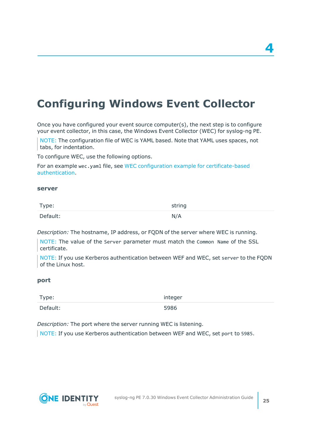## <span id="page-24-0"></span>**Configuring Windows Event Collector**

Once you have configured your event source computer(s), the next step is to configure your event collector, in this case, the Windows Event Collector (WEC) for syslog-ng PE.

NOTE: The configuration file of WEC is YAML based. Note that YAML uses spaces, not tabs, for indentation.

To configure WEC, use the following options.

For an example wec.yaml file, see WEC configuration example for [certificate-based](#page-43-0) [authentication](#page-43-0).

#### **server**

| Type:    | string |
|----------|--------|
| Default: | N/A    |

*Description:* The hostname, IP address, or FQDN of the server where WEC is running.

NOTE: The value of the Server parameter must match the Common Name of the SSL certificate.

NOTE: If you use Kerberos authentication between WEF and WEC, set server to the FQDN of the Linux host.

#### **port**

| Type:    | integer |
|----------|---------|
| Default: | 5986    |

*Description:* The port where the server running WEC is listening.

NOTE: If you use Kerberos authentication between WEF and WEC, set port to 5985.



**4**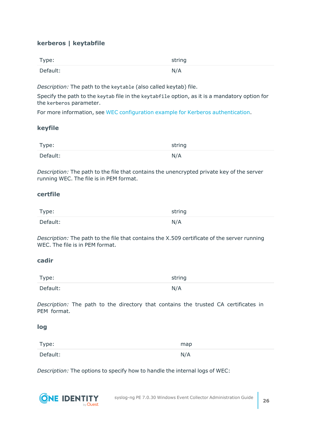### **kerberos | keytabfile**

| Type:    | string |
|----------|--------|
| Default: | N/A    |

*Description:* The path to the keytable (also called keytab) file.

Specify the path to the keytab file in the keytabfile option, as it is a mandatory option for the kerberos parameter.

For more information, see WEC configuration example for Kerberos [authentication.](#page-44-0)

#### **keyfile**

| Type:    | string |
|----------|--------|
| Default: | N/A    |

*Description:* The path to the file that contains the unencrypted private key of the server running WEC. The file is in PEM format.

#### **certfile**

| Type:    | string |
|----------|--------|
| Default: | N/A    |

*Description:* The path to the file that contains the X.509 certificate of the server running WEC. The file is in PEM format.

#### **cadir**

| Type:    | string |
|----------|--------|
| Default: | N/A    |

*Description:* The path to the directory that contains the trusted CA certificates in PEM format.

#### **log**

| Type:    | map |
|----------|-----|
| Default: | N/A |

*Description:* The options to specify how to handle the internal logs of WEC:

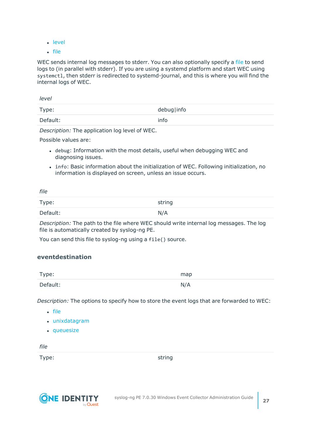- [level](#page-26-0)
- $\cdot$  [file](#page-26-1)

WEC sends internal log messages to stderr. You can also optionally specify a [file](#page-26-1) to send logs to (in parallel with stderr). If you are using a systemd platform and start WEC using systemctl, then stderr is redirected to systemd-journal, and this is where you will find the internal logs of WEC.

<span id="page-26-0"></span>

| level    |            |
|----------|------------|
| Type:    | debug info |
| Default: | info       |

*Description:* The application log level of WEC.

Possible values are:

- debug: Information with the most details, useful when debugging WEC and diagnosing issues.
- info: Basic information about the initialization of WEC. Following initialization, no information is displayed on screen, unless an issue occurs.

<span id="page-26-1"></span>

| file     |        |
|----------|--------|
| Type:    | string |
| Default: | N/A    |

*Description:* The path to the file where WEC should write internal log messages. The log file is automatically created by syslog-ng PE.

You can send this file to syslog-ng using a file() source.

#### **eventdestination**

| Type:    | map |
|----------|-----|
| Default: | N/A |

*Description:* The options to specify how to store the event logs that are forwarded to WEC:

- [file](#page-26-1)
- [unixdatagram](#page-27-0)
- [queuesize](#page-27-1)

*file*

Type: string

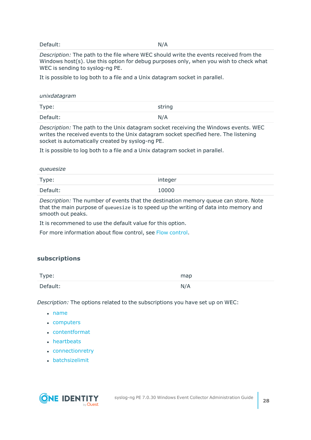#### Default: N/A

*Description:* The path to the file where WEC should write the events received from the Windows host(s). Use this option for debug purposes only, when you wish to check what WEC is sending to syslog-ng PE.

<span id="page-27-0"></span>It is possible to log both to a file and a Unix datagram socket in parallel.

#### *unixdatagram*

| Type:    | string |
|----------|--------|
| Default: | N/A    |

*Description:* The path to the Unix datagram socket receiving the Windows events. WEC writes the received events to the Unix datagram socket specified here. The listening socket is automatically created by syslog-ng PE.

<span id="page-27-1"></span>It is possible to log both to a file and a Unix datagram socket in parallel.

| queuesize |         |
|-----------|---------|
| Type:     | integer |
| Default:  | 10000   |

*Description:* The number of events that the destination memory queue can store. Note that the main purpose of queuesize is to speed up the writing of data into memory and smooth out peaks.

It is recommened to use the default value for this option.

For more information about flow control, see Flow [control](#page-35-0).

#### <span id="page-27-2"></span>**subscriptions**

| Type:    | map |
|----------|-----|
| Default: | N/A |

*Description:* The options related to the subscriptions you have set up on WEC:

- $\cdot$  [name](#page-28-0)
- [computers](#page-28-1)
- [contentformat](#page-28-2)
- [heartbeats](#page-28-3)
- [connectionretry](#page-29-0)
- $\bullet$  [batchsizelimit](#page-29-1)

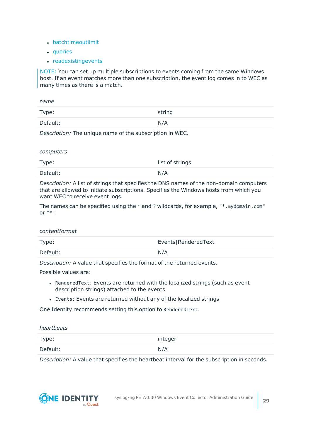- [batchtimeoutlimit](#page-29-2)
- [queries](#page-29-3)
- $\cdot$  [readexistingevents](#page-30-0)

NOTE: You can set up multiple subscriptions to events coming from the same Windows host. If an event matches more than one subscription, the event log comes in to WEC as many times as there is a match.

<span id="page-28-0"></span>

| name     |        |
|----------|--------|
| Type:    | string |
| Default: | N/A    |

<span id="page-28-1"></span>*Description:* The unique name of the subscription in WEC.

*computers*

| Type:    | list of strings |
|----------|-----------------|
| Default: | N/A             |

*Description:* A list of strings that specifies the DNS names of the non-domain computers that are allowed to initiate subscriptions. Specifies the Windows hosts from which you want WEC to receive event logs.

The names can be specified using the  $*$  and ? wildcards, for example,  $**$ .mydomain.com" or  $"$ \*".

#### <span id="page-28-2"></span>*contentformat*

| Type:    | Events RenderedText |
|----------|---------------------|
| Default: | N/A                 |

*Description:* A value that specifies the format of the returned events.

Possible values are:

- RenderedText: Events are returned with the localized strings (such as event description strings) attached to the events
- Events: Events are returned without any of the localized strings

<span id="page-28-3"></span>One Identity recommends setting this option to RenderedText.

### *heartbeats* Type: integer Default: N/A

*Description:* A value that specifies the heartbeat interval for the subscription in seconds.

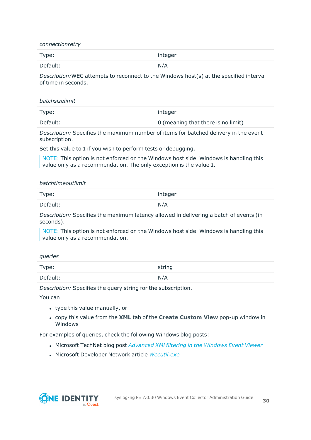<span id="page-29-0"></span>*connectionretry*

| Type:    | integer |
|----------|---------|
| Default: | N/A     |

<span id="page-29-1"></span>*Description:*WEC attempts to reconnect to the Windows host(s) at the specified interval of time in seconds.

#### *batchsizelimit*

| Type:    | integer                            |
|----------|------------------------------------|
| Default: | 0 (meaning that there is no limit) |

*Description:* Specifies the maximum number of items for batched delivery in the event subscription.

Set this value to 1 if you wish to perform tests or debugging.

<span id="page-29-2"></span>NOTE: This option is not enforced on the Windows host side. Windows is handling this value only as a recommendation. The only exception is the value 1.

#### *batchtimeoutlimit*

| Type:    | integer |
|----------|---------|
| Default: | N/A     |

*Description:* Specifies the maximum latency allowed in delivering a batch of events (in seconds).

<span id="page-29-3"></span>NOTE: This option is not enforced on the Windows host side. Windows is handling this value only as a recommendation.

#### *queries*

| Type:    | string |
|----------|--------|
| Default: | N/A    |

*Description:* Specifies the query string for the subscription.

You can:

- type this value manually, or
- <sup>l</sup> copy this value from the **XML** tab of the **Create Custom View** pop-up window in Windows

For examples of queries, check the following Windows blog posts:

- <sup>l</sup> Microsoft TechNet blog post *[Advanced](https://blogs.technet.microsoft.com/askds/2011/09/26/advanced-xml-filtering-in-the-windows-event-viewer/) XMl filtering in the Windows Event Viewer*
- **.** Microsoft Developer Network article *[Wecutil.exe](https://msdn.microsoft.com/en-us/library/bb736545(v=vs.85).aspx)*

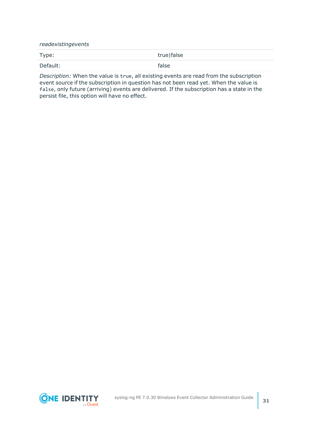<span id="page-30-0"></span>*readexistingevents*

Type: true|false Default: false

*Description:* When the value is true, all existing events are read from the subscription event source if the subscription in question has not been read yet. When the value is false, only future (arriving) events are delivered. If the subscription has a state in the persist file, this option will have no effect.

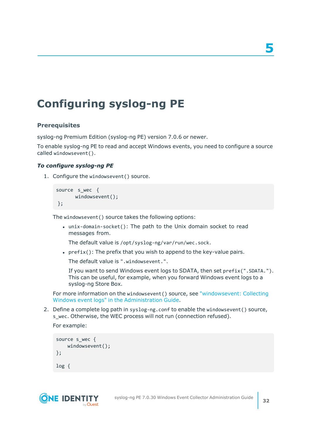### <span id="page-31-0"></span>**Configuring syslog-ng PE**

#### **Prerequisites**

syslog-ng Premium Edition (syslog-ng PE) version 7.0.6 or newer.

To enable syslog-ng PE to read and accept Windows events, you need to configure a source called windowsevent().

#### *To configure syslog-ng PE*

1. Configure the windowsevent() source.

```
source s wec {
      windowsevent();
};
```
The windowsevent() source takes the following options:

• unix-domain-socket(): The path to the Unix domain socket to read messages from.

The default value is /opt/syslog-ng/var/run/wec.sock.

•  $prefix()$ : The prefix that you wish to append to the key-value pairs.

The default value is ".windowsevent.".

If you want to send Windows event logs to SDATA, then set prefix(".SDATA."). This can be useful, for example, when you forward Windows event logs to a syslog-ng Store Box.

For more information on the windowsevent() source, see ["windowsevent:](https://support.oneidentity.com/technical-documents/syslog-ng-premium-edition/7.0.30/administration-guide/collecting-log-messages-�-sources-and-source-drivers/windowsevent-collecting-windows-event-logs/) Collecting Windows event logs" in the [Administration](https://support.oneidentity.com/technical-documents/syslog-ng-premium-edition/7.0.30/administration-guide/collecting-log-messages-�-sources-and-source-drivers/windowsevent-collecting-windows-event-logs/) Guide.

2. Define a complete log path in syslog-ng.conf to enable the windowsevent() source, s wec. Otherwise, the WEC process will not run (connection refused).

For example:

```
source s_wec {
    windowsevent();
};
log {
```
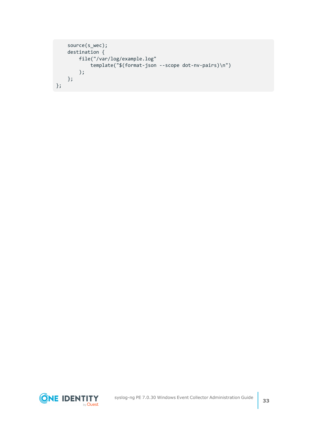```
source(s_wec);
    destination {
        file("/var/log/example.log"
            template("$(format-json --scope dot-nv-pairs)\n")
        );
   };
};
```
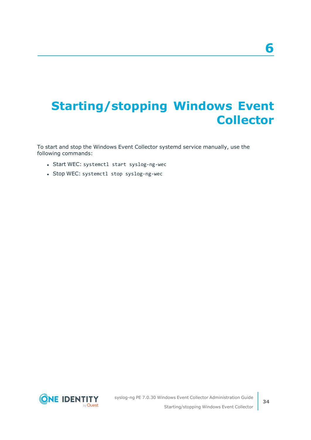# <span id="page-33-0"></span>**Starting/stopping Windows Event Collector**

To start and stop the Windows Event Collector systemd service manually, use the following commands:

- Start WEC: systemctl start syslog-ng-wec
- Stop WEC: systemctl stop syslog-ng-wec

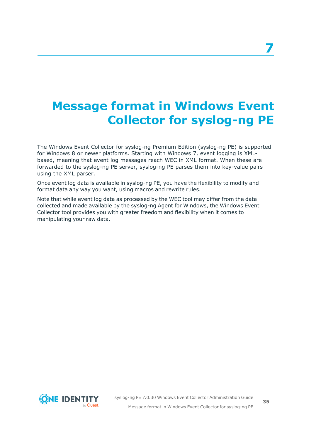# <span id="page-34-0"></span>**Message format in Windows Event Collector for syslog-ng PE**

The Windows Event Collector for syslog-ng Premium Edition (syslog-ng PE) is supported for Windows 8 or newer platforms. Starting with Windows 7, event logging is XMLbased, meaning that event log messages reach WEC in XML format. When these are forwarded to the syslog-ng PE server, syslog-ng PE parses them into key-value pairs using the XML parser.

Once event log data is available in syslog-ng PE, you have the flexibility to modify and format data any way you want, using macros and rewrite rules.

Note that while event log data as processed by the WEC tool may differ from the data collected and made available by the syslog-ng Agent for Windows, the Windows Event Collector tool provides you with greater freedom and flexibility when it comes to manipulating your raw data.

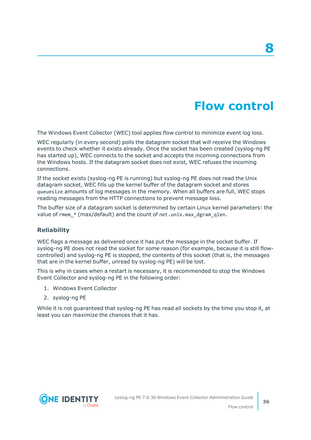## **Flow control**

**8**

<span id="page-35-0"></span>The Windows Event Collector (WEC) tool applies flow control to minimize event log loss.

WEC regularly (in every second) polls the datagram socket that will receive the Windows events to check whether it exists already. Once the socket has been created (syslog-ng PE has started up), WEC connects to the socket and accepts the incoming connections from the Windows hosts. If the datagram socket does not exist, WEC refuses the incoming connections.

If the socket exists (syslog-ng PE is running) but syslog-ng PE does not read the Unix datagram socket, WEC fills up the kernel buffer of the datagram socket and stores queuesize amounts of log messages in the memory. When all buffers are full, WEC stops reading messages from the HTTP connections to prevent message loss.

The buffer size of a datagram socket is determined by certain Linux kernel parameters: the value of rmem \* (max/default) and the count of net.unix.max dgram qlen.

#### **Reliability**

WEC flags a message as delivered once it has put the message in the socket buffer. If syslog-ng PE does not read the socket for some reason (for example, because it is still flowcontrolled) and syslog-ng PE is stopped, the contents of this socket (that is, the messages that are in the kernel buffer, unread by syslog-ng PE) will be lost.

This is why in cases when a restart is necessary, it is recommended to stop the Windows Event Collector and syslog-ng PE in the following order:

- 1. Windows Event Collector
- 2. syslog-ng PE

While it is not guaranteed that syslog-ng PE has read all sockets by the time you stop it, at least you can maximize the chances that it has.

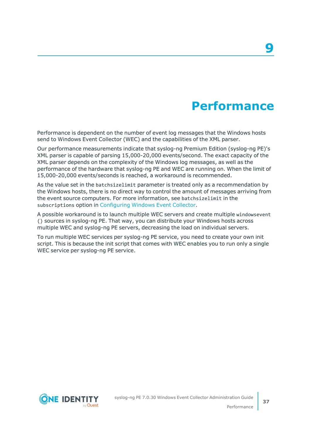### **Performance**

<span id="page-36-0"></span>Performance is dependent on the number of event log messages that the Windows hosts send to Windows Event Collector (WEC) and the capabilities of the XML parser.

Our performance measurements indicate that syslog-ng Premium Edition (syslog-ng PE)'s XML parser is capable of parsing 15,000-20,000 events/second. The exact capacity of the XML parser depends on the complexity of the Windows log messages, as well as the performance of the hardware that syslog-ng PE and WEC are running on. When the limit of 15,000-20,000 events/seconds is reached, a workaround is recommended.

As the value set in the batchsizelimit parameter is treated only as a recommendation by the Windows hosts, there is no direct way to control the amount of messages arriving from the event source computers. For more information, see batchsizelimit in the subscriptions option in [Configuring](#page-24-0) Windows Event Collector.

A possible workaround is to launch multiple WEC servers and create multiple windowsevent () sources in syslog-ng PE. That way, you can distribute your Windows hosts across multiple WEC and syslog-ng PE servers, decreasing the load on individual servers.

To run multiple WEC services per syslog-ng PE service, you need to create your own init script. This is because the init script that comes with WEC enables you to run only a single WEC service per syslog-ng PE service.

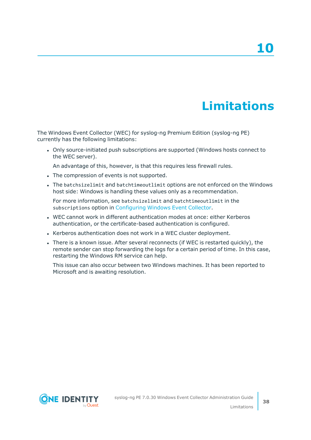# **Limitations**

<span id="page-37-0"></span>The Windows Event Collector (WEC) for syslog-ng Premium Edition (syslog-ng PE) currently has the following limitations:

• Only source-initiated push subscriptions are supported (Windows hosts connect to the WEC server).

An advantage of this, however, is that this requires less firewall rules.

- The compression of events is not supported.
- The batchsizelimit and batchtimeoutlimit options are not enforced on the Windows host side: Windows is handling these values only as a recommendation.

For more information, see batchsizelimit and batchtimeoutlimit in the subscriptions option in [Configuring](#page-24-0) Windows Event Collector.

- WEC cannot work in different authentication modes at once: either Kerberos authentication, or the certificate-based authentication is configured.
- Kerberos authentication does not work in a WEC cluster deployment.
- There is a known issue. After several reconnects (if WEC is restarted quickly), the remote sender can stop forwarding the logs for a certain period of time. In this case, restarting the Windows RM service can help.

This issue can also occur between two Windows machines. It has been reported to Microsoft and is awaiting resolution.

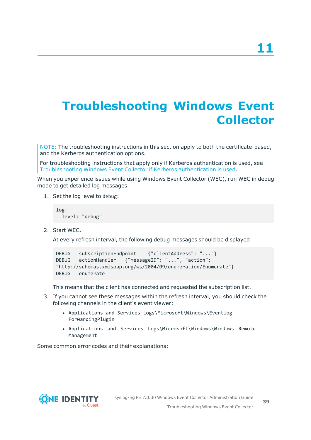# <span id="page-38-0"></span>**Troubleshooting Windows Event Collector**

NOTE: The troubleshooting instructions in this section apply to both the certificate-based, and the Kerberos authentication options.

For troubleshooting instructions that apply only if Kerberos authentication is used, see [Troubleshooting](#page-39-0) Windows Event Collector if Kerberos authentication is used.

When you experience issues while using Windows Event Collector (WEC), run WEC in debug mode to get detailed log messages.

1. Set the log level to debug:

log: level: "debug"

2. Start WEC.

At every refresh interval, the following debug messages should be displayed:

```
DEBUG subscriptionEndpoint {"clientAddress": "..."}
DEBUG actionHandler {"messageID": "...", "action":
"http://schemas.xmlsoap.org/ws/2004/09/enumeration/Enumerate"}
DEBUG enumerate
```
This means that the client has connected and requested the subscription list.

- 3. If you cannot see these messages within the refresh interval, you should check the following channels in the client's event viewer:
	- Applications and Services Logs\Microsoft\Windows\Eventlog-ForwardingPlugin
	- Applications and Services Logs\Microsoft\Windows\Windows Remote Management

Some common error codes and their explanations:

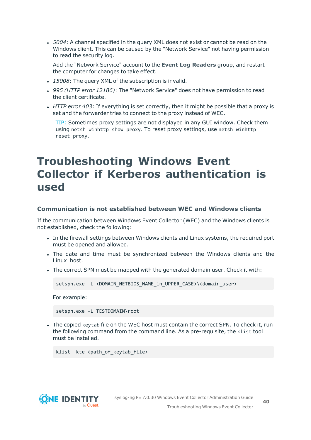• 5004: A channel specified in the query XML does not exist or cannot be read on the Windows client. This can be caused by the "Network Service" not having permission to read the security log.

Add the "Network Service" account to the **Event Log Readers** group, and restart the computer for changes to take effect.

- 15008: The query XML of the subscription is invalid.
- <sup>l</sup> *995 (HTTP error 12186)*: The "Network Service" does not have permission to read the client certificate.
- *HTTP error 403*: If everything is set correctly, then it might be possible that a proxy is set and the forwarder tries to connect to the proxy instead of WEC.

TIP: Sometimes proxy settings are not displayed in any GUI window. Check them using netsh winhttp show proxy. To reset proxy settings, use netsh winhttp reset proxy.

### <span id="page-39-0"></span>**Troubleshooting Windows Event Collector if Kerberos authentication is used**

#### **Communication is not established between WEC and Windows clients**

If the communication between Windows Event Collector (WEC) and the Windows clients is not established, check the following:

- In the firewall settings between Windows clients and Linux systems, the required port must be opened and allowed.
- The date and time must be synchronized between the Windows clients and the Linux host.
- . The correct SPN must be mapped with the generated domain user. Check it with:

```
setspn.exe -L <DOMAIN_NETBIOS_NAME_in_UPPER_CASE>\<domain_user>
```
For example:

setspn.exe -L TESTDOMAIN\root

• The copied keytab file on the WEC host must contain the correct SPN. To check it, run the following command from the command line. As a pre-requisite, the klist tool must be installed.

```
klist -kte <path of keytab file>
```
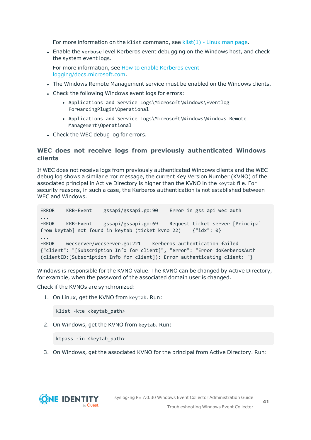For more information on the klist command, see [klist\(1\)](https://linux.die.net/man/1/klist) - Linux man page.

• Enable the verbose level Kerberos event debugging on the Windows host, and check the system event logs.

For more information, see How to enable [Kerberos](https://docs.microsoft.com/en-us/troubleshoot/windows-server/identity/enable-kerberos-event-logging) event [logging/docs.microsoft.com](https://docs.microsoft.com/en-us/troubleshoot/windows-server/identity/enable-kerberos-event-logging).

- The Windows Remote Management service must be enabled on the Windows clients.
- Check the following Windows event logs for errors:
	- Applications and Service Logs\Microsoft\Windows\Eventlog ForwardingPlugin\Operational
	- <sup>l</sup> Applications and Service Logs\Microsoft\Windows\Windows Remote Management\Operational
- Check the WEC debug log for errors.

#### **WEC does not receive logs from previously authenticated Windows clients**

If WEC does not receive logs from previously authenticated Windows clients and the WEC debug log shows a similar error message, the current Key Version Number (KVNO) of the associated principal in Active Directory is higher than the KVNO in the keytab file. For security reasons, in such a case, the Kerberos authentication is not established between WEC and Windows.

```
ERROR KRB-Event gssapi/gssapi.go:90 Error in gss_api_wec_auth
...
ERROR KRB-Event gssapi/gssapi.go:69 Request ticket server [Principal
from keytab] not found in keytab (ticket kvno 22) {"idx": 0}
...
ERROR wecserver/wecserver.go:221 Kerberos authentication failed
{"client": "[Subscription Info for client]", "error": "Error doKerberosAuth
(clientID:[Subscription Info for client]): Error authenticating client: "}
```
Windows is responsible for the KVNO value. The KVNO can be changed by Active Directory, for example, when the password of the associated domain user is changed.

Check if the KVNOs are synchronized:

1. On Linux, get the KVNO from keytab. Run:

```
klist -kte <keytab_path>
```
2. On Windows, get the KVNO from keytab. Run:

```
ktpass -in <keytab_path>
```
3. On Windows, get the associated KVNO for the principal from Active Directory. Run:

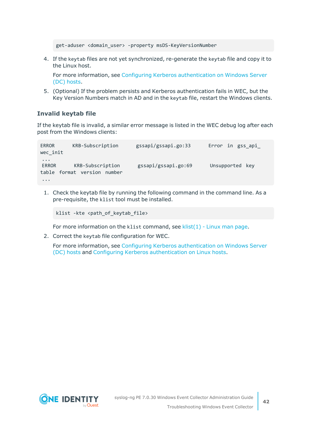```
get-aduser <domain_user> -property msDS-KeyVersionNumber
```
4. If the keytab files are not yet synchronized, re-generate the keytab file and copy it to the Linux host.

For more information, see Configuring Kerberos [authentication](#page-20-0) on Windows Server (DC) [hosts.](#page-20-0)

5. (Optional) If the problem persists and Kerberos authentication fails in WEC, but the Key Version Numbers match in AD and in the keytab file, restart the Windows clients.

#### **Invalid keytab file**

If the keytab file is invalid, a similar error message is listed in the WEC debug log after each post from the Windows clients:

```
ERROR KRB-Subscription gssapi/gssapi.go:33 Error in gss_api_
wec_init
...
ERROR KRB-Subscription gssapi/gssapi.go:69 Unsupported key
table format version number
...
```
1. Check the keytab file by running the following command in the command line. As a pre-requisite, the klist tool must be installed.

```
klist -kte <path_of_keytab_file>
```
For more information on the klist command, see klist $(1)$  - Linux man page.

2. Correct the keytab file configuration for WEC.

For more information, see Configuring Kerberos [authentication](#page-20-0) on Windows Server (DC) [hosts](#page-20-0) and Configuring Kerberos [authentication](#page-22-1) on Linux hosts.

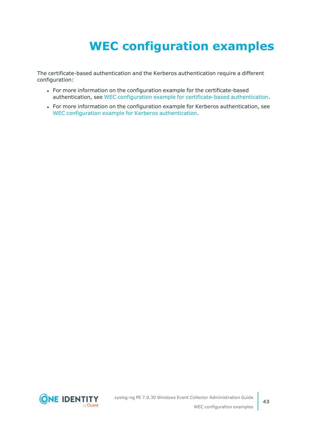# **WEC configuration examples**

<span id="page-42-0"></span>The certificate-based authentication and the Kerberos authentication require a different configuration:

- For more information on the configuration example for the certificate-based authentication, see WEC configuration example for [certificate-based](#page-43-0) authentication.
- For more information on the configuration example for Kerberos authentication, see WEC configuration example for Kerberos [authentication](#page-44-0).

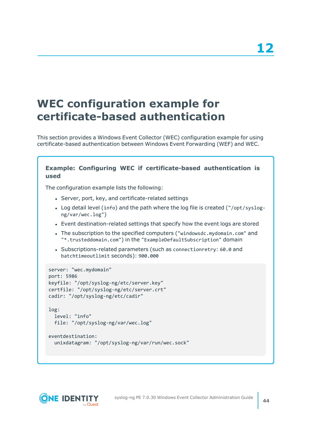## <span id="page-43-0"></span>**WEC configuration example for certificate-based authentication**

This section provides a Windows Event Collector (WEC) configuration example for using certificate-based authentication between Windows Event Forwarding (WEF) and WEC.

### **Example: Configuring WEC if certificate-based authentication is used** The configuration example lists the following: • Server, port, key, and certificate-related settings • Log detail level (info) and the path where the log file is created ("/opt/syslogng/var/wec.log") • Event destination-related settings that specify how the event logs are stored • The subscription to the specified computers ("windowsdc.mydomain.com" and "\*.trusteddomain.com") in the "ExampleDefaultSubscription" domain • Subscriptions-related parameters (such as connectionretry: 60.0 and batchtimeoutlimit seconds): 900.000 server: "wec.mydomain" port: 5986 keyfile: "/opt/syslog-ng/etc/server.key" certfile: "/opt/syslog-ng/etc/server.crt" cadir: "/opt/syslog-ng/etc/cadir" log: level: "info" file: "/opt/syslog-ng/var/wec.log" eventdestination: unixdatagram: "/opt/syslog-ng/var/run/wec.sock"

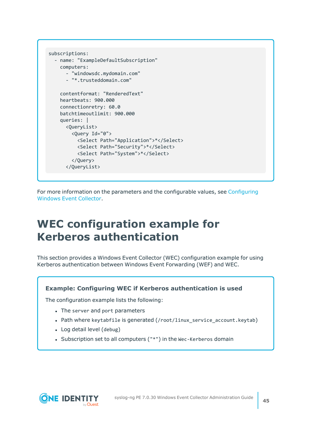```
subscriptions:
 - name: "ExampleDefaultSubscription"
    computers:
      - "windowsdc.mydomain.com"
      - "*.trusteddomain.com"
    contentformat: "RenderedText"
    heartbeats: 900.000
    connectionretry: 60.0
    batchtimeoutlimit: 900.000
    queries: |
      <QueryList>
        <Query Id="0">
          <Select Path="Application">*</Select>
          <Select Path="Security">*</Select>
          <Select Path="System">*</Select>
        </Query>
      </QueryList>
```
For more information on the parameters and the configurable values, see [Configuring](#page-24-0) [Windows](#page-24-0) Event Collector.

### <span id="page-44-0"></span>**WEC configuration example for Kerberos authentication**

This section provides a Windows Event Collector (WEC) configuration example for using Kerberos authentication between Windows Event Forwarding (WEF) and WEC.

#### **Example: Configuring WEC if Kerberos authentication is used**

The configuration example lists the following:

- The server and port parameters
- Path where keytabfile is generated (/root/linux service account.keytab)
- Log detail level (debug)
- Subscription set to all computers ("\*") in the Wec-Kerberos domain

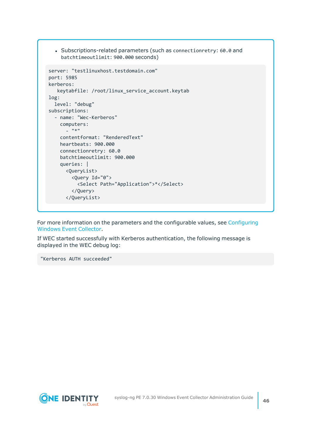• Subscriptions-related parameters (such as connectionretry: 60.0 and batchtimeoutlimit: 900.000 seconds)

```
server: "testlinuxhost.testdomain.com"
port: 5985
kerberos:
   keytabfile: /root/linux_service_account.keytab
log:
 level: "debug"
subscriptions:
  - name: "Wec-Kerberos"
   computers:
      - "*"
    contentformat: "RenderedText"
    heartbeats: 900.000
    connectionretry: 60.0
    batchtimeoutlimit: 900.000
    queries: |
      <QueryList>
        <Query Id="0">
          <Select Path="Application">*</Select>
        </Query>
      </QueryList>
```
For more information on the parameters and the configurable values, see [Configuring](#page-24-0) [Windows](#page-24-0) Event Collector.

If WEC started successfully with Kerberos authentication, the following message is displayed in the WEC debug log:

"Kerberos AUTH succeeded"

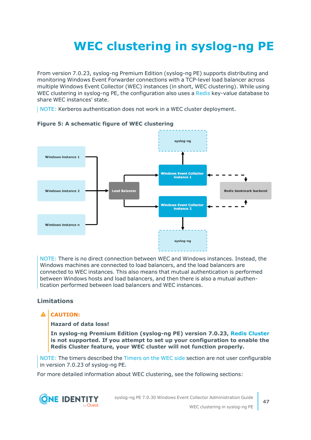# <span id="page-46-0"></span>**WEC clustering in syslog-ng PE**

From version 7.0.23, syslog-ng Premium Edition (syslog-ng PE) supports distributing and monitoring Windows Event Forwarder connections with a TCP-level load balancer across multiple Windows Event Collector (WEC) instances (in short, WEC clustering). While using WEC clustering in syslog-ng PE, the configuration also uses a [Redis](https://redis.io/) key-value database to share WEC instances' state.

NOTE: Kerberos authentication does not work in a WEC cluster deployment.



#### **Figure 5: A schematic figure of WEC clustering**

NOTE: There is no direct connection between WEC and Windows instances. Instead, the Windows machines are connected to load balancers, and the load balancers are connected to WEC instances. This also means that mutual authentication is performed between Windows hosts and load balancers, and then there is also a mutual authentication performed between load balancers and WEC instances.

#### **Limitations**

### **A** CAUTION:

#### **Hazard of data loss!**

**In syslog-ng Premium Edition (syslog-ng PE) version 7.0.23, Redis [Cluster](https://redis.io/topics/cluster-spec) is not supported. If you attempt to set up your configuration to enable the Redis Cluster feature, your WEC cluster will not function properly.**

NOTE: The timers described the [Timers](#page-54-0) on the WEC side section are not user configurable in version 7.0.23 of syslog-ng PE.

For more detailed information about WEC clustering, see the following sections:

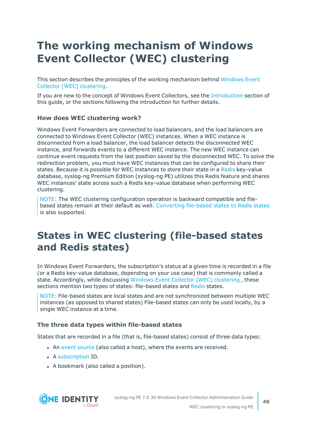## <span id="page-47-0"></span>**The working mechanism of Windows Event Collector (WEC) clustering**

This section describes the principles of the working mechanism behind [Windows](../../../../../Content/Guides/syslog-ng-pe-wec-guide/wec-clustering.htm) Event Collector (WEC) [clustering.](../../../../../Content/Guides/syslog-ng-pe-wec-guide/wec-clustering.htm)

If you are new to the concept of Windows Event Collectors, see the [Introduction](#page-4-0) section of this guide, or the sections following the introduction for further details.

#### **How does WEC clustering work?**

Windows Event Forwarders are connected to load balancers, and the load balancers are connected to Windows Event Collector (WEC) instances. When a WEC instance is disconnected from a load balancer, the load balancer detects the disconnected WEC instance, and forwards events to a different WEC instance. The new WEC instance can continue event requests from the last position saved by the disconnected WEC. To solve the redirection problem, you must have WEC instances that can be configured to share their states. Because it is possible for WEC instances to store their state in a [Redis](https://redis.io/) key-value database, syslog-ng Premium Edition (syslog-ng PE) utilizes this Redis feature and shares WEC instances' state across such a Redis key-value database when performing WEC clustering.

NOTE: The WEC clustering configuration operation is backward compatible and filebased states remain at their default as well. [Converting](#page-49-0) file-based states to Redis states is also supported.

### <span id="page-47-1"></span>**States in WEC clustering (file-based states and Redis states)**

In Windows Event Forwarders, the subscription's status at a given time is recorded in a file (or a Redis key-value database, depending on your use case) that is commonly called a state. Accordingly, while discussing Windows Event Collector (WEC) [clustering](../../../../../Content/Guides/syslog-ng-pe-wec-guide/wec-clustering.htm) , these sections mention two types of states: file-based states and [Redis](https://redis.io/) states.

NOTE: File-based states are local states and are not synchronized between multiple WEC instances (as opposed to shared states) File-based states can only be used locally, by a single WEC instance at a time.

#### **The three data types within file-based states**

States that are recorded in a file (that is, file-based states) consist of three data types:

- . An event [source](../../../../../Content/Guides/syslog-ng-pe-wec-guide/wec-conf-eventsource.htm) (also called a host), where the events are received.
- A [subscription](#page-27-2) ID.
- A bookmark (also called a position).

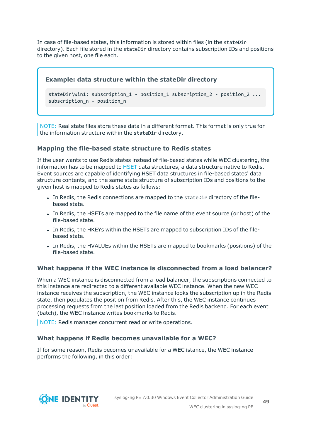In case of file-based states, this information is stored within files (in the stateDir directory). Each file stored in the stateDir directory contains subscription IDs and positions to the given host, one file each.

#### **Example: data structure within the stateDir directory**

```
stateDir\win1: subscription 1 - position 1 subscription 2 - position 2 ...
subscription n - position n
```
NOTE: Real state files store these data in a different format. This format is only true for the information structure within the stateDir directory.

#### **Mapping the file-based state structure to Redis states**

If the user wants to use Redis states instead of file-based states while WEC clustering, the information has to be mapped to [HSET](https://redis.io/commands/hset) data structures, a data structure native to Redis. Event sources are capable of identifying HSET data structures in file-based states' data structure contents, and the same state structure of subscription IDs and positions to the given host is mapped to Redis states as follows:

- In Redis, the Redis connections are mapped to the stateDir directory of the filebased state.
- In Redis, the HSETs are mapped to the file name of the event source (or host) of the file-based state.
- In Redis, the HKEYs within the HSETs are mapped to subscription IDs of the filebased state.
- In Redis, the HVALUEs within the HSETs are mapped to bookmarks (positions) of the file-based state.

#### **What happens if the WEC instance is disconnected from a load balancer?**

When a WEC instance is disconnected from a load balancer, the subscriptions connected to this instance are redirected to a different available WEC instance. When the new WEC instance receives the subscription, the WEC instance looks the subscription up in the Redis state, then populates the position from Redis. After this, the WEC instance continues processing requests from the last position loaded from the Redis backend. For each event (batch), the WEC instance writes bookmarks to Redis.

NOTE: Redis manages concurrent read or write operations.

#### **What happens if Redis becomes unavailable for a WEC?**

If for some reason, Redis becomes unavailable for a WEC istance, the WEC instance performs the following, in this order:

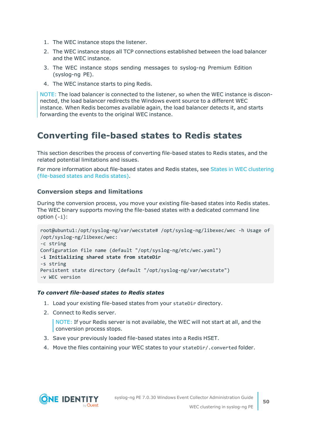- 1. The WEC instance stops the listener.
- 2. The WEC instance stops all TCP connections established between the load balancer and the WEC instance.
- 3. The WEC instance stops sending messages to syslog-ng Premium Edition (syslog-ng PE).
- 4. The WEC instance starts to ping Redis.

NOTE: The load balancer is connected to the listener, so when the WEC instance is disconnected, the load balancer redirects the Windows event source to a different WEC instance. When Redis becomes available again, the load balancer detects it, and starts forwarding the events to the original WEC instance.

### <span id="page-49-0"></span>**Converting file-based states to Redis states**

This section describes the process of converting file-based states to Redis states, and the related potential limitations and issues.

For more information about file-based states and Redis states, see States in WEC [clustering](#page-47-1) [\(file-based](#page-47-1) states and Redis states).

#### **Conversion steps and limitations**

During the conversion process, you move your existing file-based states into Redis states. The WEC binary supports moving the file-based states with a dedicated command line option (-i):

```
root@ubuntu1:/opt/syslog-ng/var/wecstate# /opt/syslog-ng/libexec/wec -h Usage of
/opt/syslog-ng/libexec/wec:
-c string
Configuration file name (default "/opt/syslog-ng/etc/wec.yaml")
-i Initializing shared state from stateDir
-s string
Persistent state directory (default "/opt/syslog-ng/var/wecstate")
-v WEC version
```
#### *To convert file-based states to Redis states*

- 1. Load your existing file-based states from your stateDir directory.
- 2. Connect to Redis server.

NOTE: If your Redis server is not available, the WEC will not start at all, and the conversion process stops.

- 3. Save your previously loaded file-based states into a Redis HSET.
- 4. Move the files containing your WEC states to your stateDir/.converted folder.

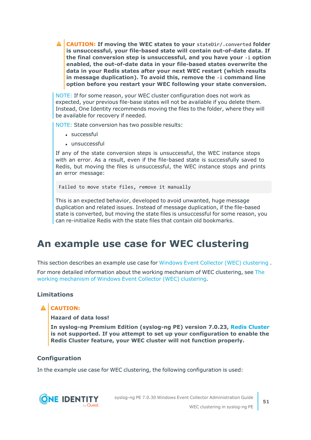**CAUTION: If moving the WEC states to your stateDir/.converted folder is unsuccessful, your file-based state will contain out-of-date data. If the final conversion step is unsuccessful, and you have your -i option enabled, the out-of-date data in your file-based states overwrite the data in your Redis states after your next WEC restart (which results in message duplication). To avoid this, remove the -i command line option before you restart your WEC following your state conversion.**

NOTE: If for some reason, your WEC cluster configuration does not work as expected, your previous file-base states will not be available if you delete them. Instead, One Identity recommends moving the files to the folder, where they will be available for recovery if needed.

NOTE: State conversion has two possible results:

- successful
- $\cdot$  unsuccessful

If any of the state conversion steps is unsuccessful, the WEC instance stops with an error. As a result, even if the file-based state is successfully saved to Redis, but moving the files is unsuccessful, the WEC instance stops and prints an error message:

Failed to move state files, remove it manually

This is an expected behavior, developed to avoid unwanted, huge message duplication and related issues. Instead of message duplication, if the file-based state is converted, but moving the state files is unsuccessful for some reason, you can re-initialize Redis with the state files that contain old bookmarks.

### <span id="page-50-0"></span>**An example use case for WEC clustering**

This section describes an example use case for Windows Event Collector (WEC) [clustering](../../../../../Content/Guides/syslog-ng-pe-wec-guide/wec-clustering.htm) .

For more detailed information about the working mechanism of WEC clustering, see [The](#page-47-0) working [mechanism](#page-47-0) of Windows Event Collector (WEC) clustering.

#### **Limitations**

#### **A** CAUTION:

**Hazard of data loss!**

**In syslog-ng Premium Edition (syslog-ng PE) version 7.0.23, Redis [Cluster](https://redis.io/topics/cluster-spec) is not supported. If you attempt to set up your configuration to enable the Redis Cluster feature, your WEC cluster will not function properly.**

#### **Configuration**

In the example use case for WEC clustering, the following configuration is used:



syslog-ng PE 7.0.30 Windows Event Collector Administration Guide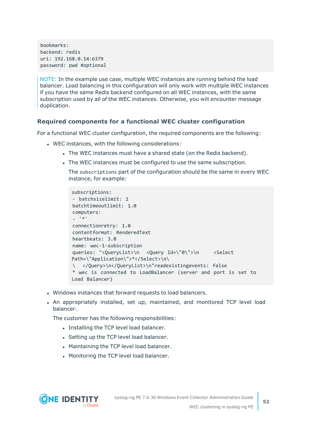bookmarks: backend: redis uri: 192.168.0.14:6379 password: pwd #optional

NOTE: In the example use case, multiple WEC instances are running behind the load balancer. Load balancing in this configuration will only work with multiple WEC instances if you have the same Redis backend configured on all WEC instances, with the same subscription used by all of the WEC instances. Otherwise, you will encounter message duplication.

#### **Required components for a functional WEC cluster configuration**

For a functional WEC cluster configuration, the required components are the following:

- WEC instances, with the following considerations:
	- The WEC instances must have a shared state (on the Redis backend).
	- The WEC instances must be configured to use the same subscription.

The subscriptions part of the configuration should be the same in every WEC instance, for example:

```
subscriptions:
- batchsizelimit: 1
batchtimeoutlimit: 1.0
computers:
- '*'
connectionretry: 1.0
contentformat: RenderedText
heartbeats: 3.0
name: wec-1-subscription
queries: "<QueryList>\n <Query Id=\"0\">\n <Select
Path=\"Application\">*</Select>\n\
  \ </Query>\n</QueryList>\n"readexistingevents: false
* wec is connected to LoadBalancer (server and port is set to
Load Balancer)
```
- Windows instances that forward requests to load balancers.
- An appropriately installed, set up, maintained, and monitored TCP level load balancer.

The customer has the following responsibilities:

- Installing the TCP level load balancer.
- Setting up the TCP level load balancer.
- Maintaining the TCP level load balancer.
- Monitoring the TCP level load balancer.

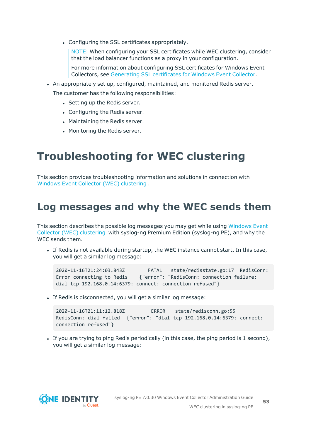• Configuring the SSL certificates appropriately.

NOTE: When configuring your SSL certificates while WEC clustering, consider that the load balancer functions as a proxy in your configuration.

For more information about configuring SSL certificates for Windows Event Collectors, see [Generating](#page-11-0) SSL certificates for Windows Event Collector.

- An appropriately set up, configured, maintained, and monitored Redis server. The customer has the following responsibilities:
	- Setting up the Redis server.
	- Configuring the Redis server.
	- Maintaining the Redis server.
	- Monitoring the Redis server.

### <span id="page-52-0"></span>**Troubleshooting for WEC clustering**

This section provides troubleshooting information and solutions in connection with Windows Event Collector (WEC) [clustering](../../../../../Content/Guides/syslog-ng-pe-wec-guide/wec-clustering.htm) .

### <span id="page-52-1"></span>**Log messages and why the WEC sends them**

This section describes the possible log messages you may get while using [Windows](../../../../../Content/Guides/syslog-ng-pe-wec-guide/wec-clustering.htm) Event Collector (WEC) [clustering](../../../../../Content/Guides/syslog-ng-pe-wec-guide/wec-clustering.htm) with syslog-ng Premium Edition (syslog-ng PE), and why the WEC sends them.

If Redis is not available during startup, the WEC instance cannot start. In this case, you will get a similar log message:

```
2020-11-16T21:24:03.843Z FATAL state/redisstate.go:17 RedisConn:
Error connecting to Redis {"error": "RedisConn: connection failure:
dial tcp 192.168.0.14:6379: connect: connection refused"}
```
If Redis is disconnected, you will get a similar log message:

```
2020-11-16T21:11:12.818Z ERROR state/redisconn.go:55
RedisConn: dial failed {"error": "dial tcp 192.168.0.14:6379: connect:
connection refused"}
```
If you are trying to ping Redis periodically (in this case, the ping period is 1 second), you will get a similar log message:

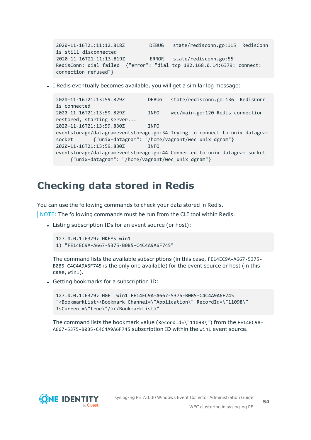```
2020-11-16T21:11:12.818Z DEBUG state/redisconn.go:115 RedisConn
is still disconnected
2020-11-16T21:11:13.819Z ERROR state/redisconn.go:55
RedisConn: dial failed {"error": "dial tcp 192.168.0.14:6379: connect:
connection refused"}
```
• I Redis eventually becomes available, you will get a similar log message:

```
2020-11-16T21:13:59.829Z DEBUG state/redisconn.go:136 RedisConn
is connected
2020-11-16T21:13:59.829Z INFO wec/main.go:120 Redis connection
restored, starting server...
2020-11-16T21:13:59.830Z INFO
eventstorage/datagrameventstorage.go:34 Trying to connect to unix datagram
socket {"unix-datagram": "/home/vagrant/wec_unix_dgram"}
2020-11-16T21:13:59.830Z INFO
eventstorage/datagrameventstorage.go:44 Connected to unix datagram socket
    {"unix-datagram": "/home/vagrant/wec_unix_dgram"}
```
### <span id="page-53-0"></span>**Checking data stored in Redis**

You can use the following commands to check your data stored in Redis.

NOTE: The following commands must be run from the CLI tool within Redis.

• Listing subscription IDs for an event source (or host):

```
127.0.0.1:6379> HKEYS win1
1) "FE14EC9A-A667-5375-B0B5-C4C4A9A6F745"
```
The command lists the available subscriptions (in this case, FE14EC9A-A667-5375- B0B5-C4C4A9A6F745 is the only one available) for the event source or host (in this case, win1).

• Getting bookmarks for a subscription ID:

```
127.0.0.1:6379> HGET win1 FE14EC9A-A667-5375-B0B5-C4C4A9A6F745
"<BookmarkList><Bookmark Channel=\"Application\" RecordId=\"11098\"
IsCurrent=\"true\"/></BookmarkList>"
```
The command lists the bookmark value (RecordId=\"11098\") from the FE14EC9A-A667-5375-B0B5-C4C4A9A6F745 subscription ID within the win1 event source.

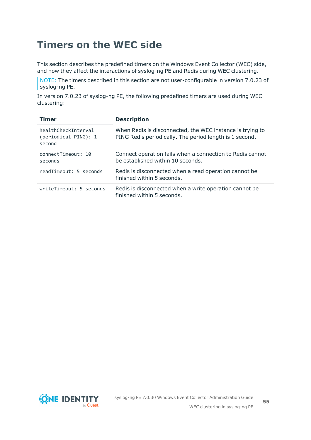### <span id="page-54-0"></span>**Timers on the WEC side**

This section describes the predefined timers on the Windows Event Collector (WEC) side, and how they affect the interactions of syslog-ng PE and Redis during WEC clustering.

NOTE: The timers described in this section are not user-configurable in version 7.0.23 of syslog-ng PE.

In version 7.0.23 of syslog-ng PE, the following predefined timers are used during WEC clustering:

| <b>Timer</b>                                          | <b>Description</b>                                                                                                   |
|-------------------------------------------------------|----------------------------------------------------------------------------------------------------------------------|
| healthCheckTnterval<br>(periodical PING): 1<br>second | When Redis is disconnected, the WEC instance is trying to<br>PING Redis periodically. The period length is 1 second. |
| connectTimeout: 10<br>seconds                         | Connect operation fails when a connection to Redis cannot<br>be established within 10 seconds.                       |
| readTimeout: 5 seconds                                | Redis is disconnected when a read operation cannot be<br>finished within 5 seconds.                                  |
| writeTimeout: 5 seconds                               | Redis is disconnected when a write operation cannot be<br>finished within 5 seconds.                                 |

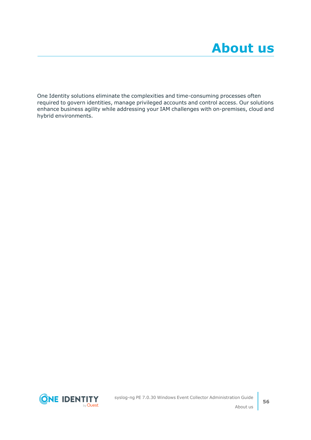<span id="page-55-0"></span>One Identity solutions eliminate the complexities and time-consuming processes often required to govern identities, manage privileged accounts and control access. Our solutions enhance business agility while addressing your IAM challenges with on-premises, cloud and hybrid environments.

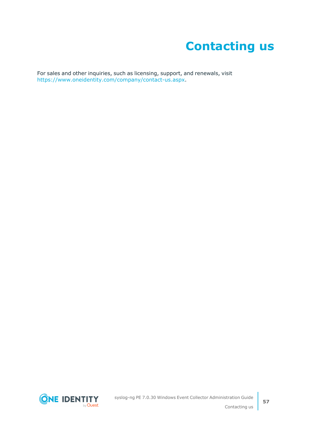# **Contacting us**

<span id="page-56-0"></span>For sales and other inquiries, such as licensing, support, and renewals, visit [https://www.oneidentity.com/company/contact-us.aspx.](https://www.oneidentity.com/company/contact-us.aspx)

**ONE IDENTITY** by Quest